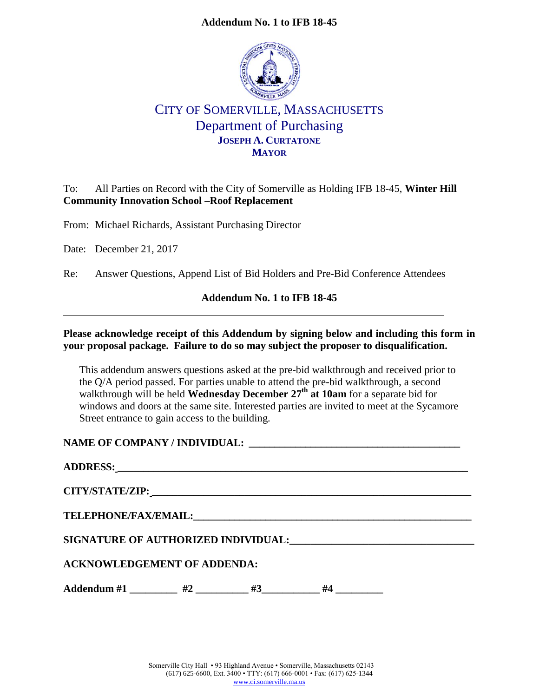#### **Addendum No. 1 to IFB 18-45**



# CITY OF SOMERVILLE, MASSACHUSETTS Department of Purchasing **JOSEPH A. CURTATONE MAYOR**

### To: All Parties on Record with the City of Somerville as Holding IFB 18-45, **Winter Hill Community Innovation School –Roof Replacement**

From: Michael Richards, Assistant Purchasing Director

Date: December 21, 2017

Re: Answer Questions, Append List of Bid Holders and Pre-Bid Conference Attendees

#### **Addendum No. 1 to IFB 18-45**

#### **Please acknowledge receipt of this Addendum by signing below and including this form in your proposal package. Failure to do so may subject the proposer to disqualification.**

This addendum answers questions asked at the pre-bid walkthrough and received prior to the Q/A period passed. For parties unable to attend the pre-bid walkthrough, a second walkthrough will be held **Wednesday December 27th at 10am** for a separate bid for windows and doors at the same site. Interested parties are invited to meet at the Sycamore Street entrance to gain access to the building.

**NAME OF COMPANY / INDIVIDUAL: \_\_\_\_\_\_\_\_\_\_\_\_\_\_\_\_\_\_\_\_\_\_\_\_\_\_\_\_\_\_\_\_\_\_\_\_\_\_\_\_\_**

| <b>TELEPHONE/FAX/EMAIL:</b>         |    |    |    |  |  |  |  |
|-------------------------------------|----|----|----|--|--|--|--|
| SIGNATURE OF AUTHORIZED INDIVIDUAL: |    |    |    |  |  |  |  |
| <b>ACKNOWLEDGEMENT OF ADDENDA:</b>  |    |    |    |  |  |  |  |
| Addendum #1                         | #2 | #3 | #4 |  |  |  |  |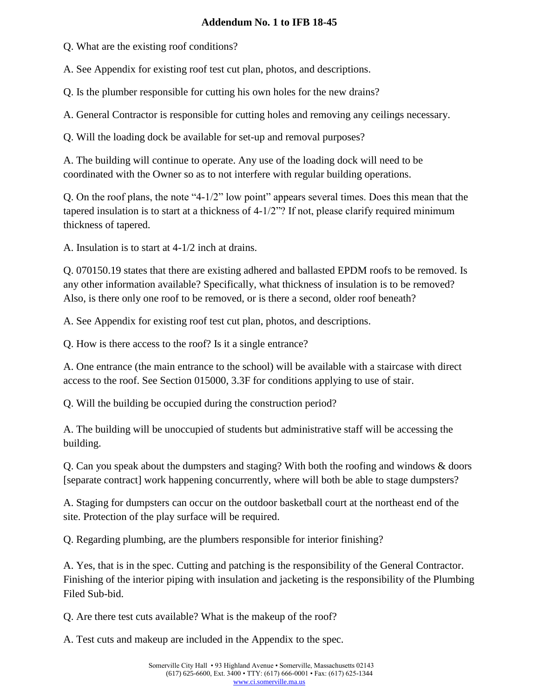### **Addendum No. 1 to IFB 18-45**

Q. What are the existing roof conditions?

A. See Appendix for existing roof test cut plan, photos, and descriptions.

Q. Is the plumber responsible for cutting his own holes for the new drains?

A. General Contractor is responsible for cutting holes and removing any ceilings necessary.

Q. Will the loading dock be available for set-up and removal purposes?

A. The building will continue to operate. Any use of the loading dock will need to be coordinated with the Owner so as to not interfere with regular building operations.

Q. On the roof plans, the note "4-1/2" low point" appears several times. Does this mean that the tapered insulation is to start at a thickness of 4-1/2"? If not, please clarify required minimum thickness of tapered.

A. Insulation is to start at 4-1/2 inch at drains.

Q. 070150.19 states that there are existing adhered and ballasted EPDM roofs to be removed. Is any other information available? Specifically, what thickness of insulation is to be removed? Also, is there only one roof to be removed, or is there a second, older roof beneath?

A. See Appendix for existing roof test cut plan, photos, and descriptions.

Q. How is there access to the roof? Is it a single entrance?

A. One entrance (the main entrance to the school) will be available with a staircase with direct access to the roof. See Section 015000, 3.3F for conditions applying to use of stair.

Q. Will the building be occupied during the construction period?

A. The building will be unoccupied of students but administrative staff will be accessing the building.

Q. Can you speak about the dumpsters and staging? With both the roofing and windows & doors [separate contract] work happening concurrently, where will both be able to stage dumpsters?

A. Staging for dumpsters can occur on the outdoor basketball court at the northeast end of the site. Protection of the play surface will be required.

Q. Regarding plumbing, are the plumbers responsible for interior finishing?

A. Yes, that is in the spec. Cutting and patching is the responsibility of the General Contractor. Finishing of the interior piping with insulation and jacketing is the responsibility of the Plumbing Filed Sub-bid.

Q. Are there test cuts available? What is the makeup of the roof?

A. Test cuts and makeup are included in the Appendix to the spec.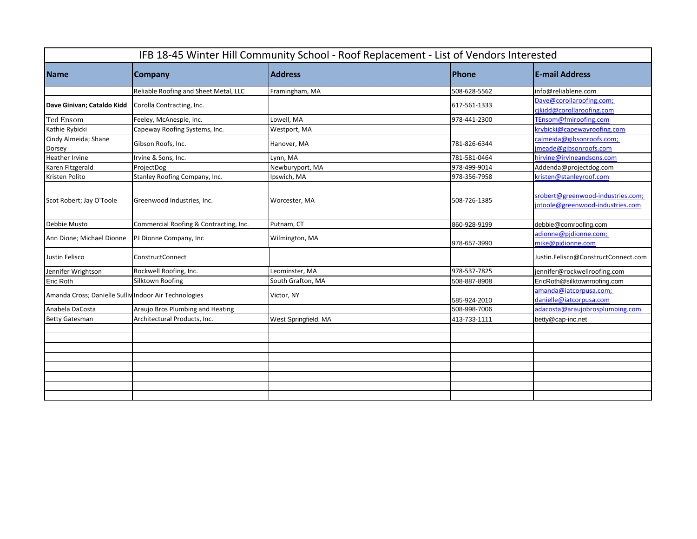| IFB 18-45 Winter Hill Community School - Roof Replacement - List of Vendors Interested |                                        |                      |              |                                                                       |  |  |
|----------------------------------------------------------------------------------------|----------------------------------------|----------------------|--------------|-----------------------------------------------------------------------|--|--|
| <b>Name</b>                                                                            | Company                                | <b>Address</b>       | Phone        | <b>E-mail Address</b>                                                 |  |  |
|                                                                                        | Reliable Roofing and Sheet Metal, LLC  | Framingham, MA       | 508-628-5562 | info@reliablene.com                                                   |  |  |
| Dave Ginivan; Cataldo Kidd                                                             | Corolla Contracting, Inc.              |                      | 617-561-1333 | Dave@corollaroofing.com;<br>cikidd@corollaroofing.com                 |  |  |
| <b>Ted Ensom</b>                                                                       | Feeley, McAnespie, Inc.                | Lowell, MA           | 978-441-2300 | TEnsom@fmiroofing.com                                                 |  |  |
| Kathie Rybicki                                                                         | Capeway Roofing Systems, Inc.          | Westport, MA         |              | krybicki@capewayroofing.com                                           |  |  |
| Cindy Almeida; Shane<br>Dorsey                                                         | Gibson Roofs, Inc.                     | Hanover, MA          | 781-826-6344 | calmeida@gibsonroofs.com;<br>jmeade@gibsonroofs.com                   |  |  |
| <b>Heather Irvine</b>                                                                  | Irvine & Sons, Inc.                    | Lynn, MA             | 781-581-0464 | hirvine@irvineandsons.com                                             |  |  |
| Karen Fitzgerald                                                                       | ProjectDog                             | Newburyport, MA      | 978-499-9014 | Addenda@projectdog.com                                                |  |  |
| Kristen Polito                                                                         | Stanley Roofing Company, Inc.          | Ipswich, MA          | 978-356-7958 | kristen@stanleyroof.com                                               |  |  |
| Scot Robert; Jay O'Toole                                                               | Greenwood Industries, Inc.             | Worcester, MA        | 508-726-1385 | srobert@greenwood-industries.com;<br>jotoole@greenwood-industries.com |  |  |
| Debbie Musto                                                                           | Commercial Roofing & Contracting, Inc. | Putnam, CT           | 860-928-9199 | debbie@comroofing.com                                                 |  |  |
| Ann Dione; Michael Dionne                                                              | PJ Dionne Company, Inc.                | Wilmington, MA       | 978-657-3990 | adionne@pjdionne.com;<br>mike@pidionne.com                            |  |  |
| Justin Felisco                                                                         | <b>ConstructConnect</b>                |                      |              | Justin.Felisco@ConstructConnect.com                                   |  |  |
| Jennifer Wrightson                                                                     | Rockwell Roofing, Inc.                 | Leominster, MA       | 978-537-7825 | jennifer@rockwellroofing.com                                          |  |  |
| <b>Eric Roth</b>                                                                       | Silktown Roofing                       | South Grafton, MA    | 508-887-8908 | EricRoth@silktownroofing.com                                          |  |  |
| Amanda Cross; Danielle Sulliv Indoor Air Technologies                                  |                                        | Victor, NY           | 585-924-2010 | amanda@iatcorpusa.com;<br>danielle@iatcorpusa.com                     |  |  |
| Anabela DaCosta                                                                        | Araujo Bros Plumbing and Heating       |                      | 508-998-7006 | adacosta@arauiobrosplumbing.com                                       |  |  |
| <b>Betty Gatesman</b>                                                                  | Architectural Products, Inc.           | West Springfield, MA | 413-733-1111 | betty@cap-inc.net                                                     |  |  |
|                                                                                        |                                        |                      |              |                                                                       |  |  |
|                                                                                        |                                        |                      |              |                                                                       |  |  |
|                                                                                        |                                        |                      |              |                                                                       |  |  |
|                                                                                        |                                        |                      |              |                                                                       |  |  |
|                                                                                        |                                        |                      |              |                                                                       |  |  |
|                                                                                        |                                        |                      |              |                                                                       |  |  |
|                                                                                        |                                        |                      |              |                                                                       |  |  |
|                                                                                        |                                        |                      |              |                                                                       |  |  |